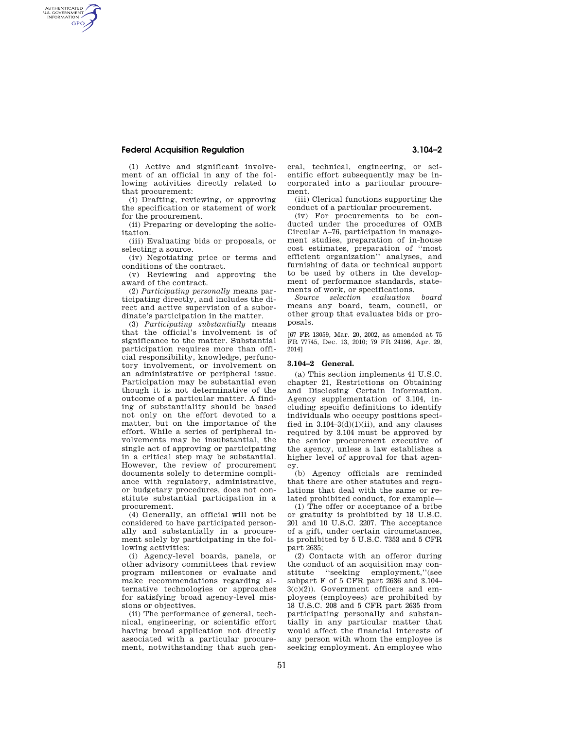## **Federal Acquisition Regulation 3.104–2**

AUTHENTICATED<br>U.S. GOVERNMENT<br>INFORMATION **GPO** 

> (1) Active and significant involvement of an official in any of the following activities directly related to that procurement:

> (i) Drafting, reviewing, or approving the specification or statement of work for the procurement.

> (ii) Preparing or developing the solicitation.

> (iii) Evaluating bids or proposals, or selecting a source.

> (iv) Negotiating price or terms and conditions of the contract.

> (v) Reviewing and approving the award of the contract.

(2) *Participating personally* means participating directly, and includes the direct and active supervision of a subordinate's participation in the matter.

(3) *Participating substantially* means that the official's involvement is of significance to the matter. Substantial participation requires more than official responsibility, knowledge, perfunctory involvement, or involvement on an administrative or peripheral issue. Participation may be substantial even though it is not determinative of the outcome of a particular matter. A finding of substantiality should be based not only on the effort devoted to a matter, but on the importance of the effort. While a series of peripheral involvements may be insubstantial, the single act of approving or participating in a critical step may be substantial. However, the review of procurement documents solely to determine compliance with regulatory, administrative, or budgetary procedures, does not constitute substantial participation in a procurement.

(4) Generally, an official will not be considered to have participated personally and substantially in a procurement solely by participating in the following activities:

(i) Agency-level boards, panels, or other advisory committees that review program milestones or evaluate and make recommendations regarding alternative technologies or approaches for satisfying broad agency-level missions or objectives.

(ii) The performance of general, technical, engineering, or scientific effort having broad application not directly associated with a particular procurement, notwithstanding that such gen-

eral, technical, engineering, or scientific effort subsequently may be incorporated into a particular procurement.

(iii) Clerical functions supporting the conduct of a particular procurement.

(iv) For procurements to be conducted under the procedures of OMB Circular A–76, participation in management studies, preparation of in-house cost estimates, preparation of ''most efficient organization'' analyses, and furnishing of data or technical support to be used by others in the development of performance standards, statements of work, or specifications.

*Source selection evaluation board*  means any board, team, council, or other group that evaluates bids or proposals.

[67 FR 13059, Mar. 20, 2002, as amended at 75 FR 77745, Dec. 13, 2010; 79 FR 24196, Apr. 29, 2014]

## **3.104–2 General.**

(a) This section implements 41 U.S.C. chapter 21, Restrictions on Obtaining and Disclosing Certain Information. Agency supplementation of 3.104, including specific definitions to identify individuals who occupy positions specified in  $3.104-3(d)(1)(ii)$ , and any clauses required by 3.104 must be approved by the senior procurement executive of the agency, unless a law establishes a higher level of approval for that agency.

(b) Agency officials are reminded that there are other statutes and regulations that deal with the same or related prohibited conduct, for example—

(1) The offer or acceptance of a bribe or gratuity is prohibited by 18 U.S.C. 201 and 10 U.S.C. 2207. The acceptance of a gift, under certain circumstances, is prohibited by 5 U.S.C. 7353 and 5 CFR part 2635;

(2) Contacts with an offeror during the conduct of an acquisition may constitute ''seeking employment,''(see subpart F of 5 CFR part 2636 and 3.104– 3(c)(2)). Government officers and employees (employees) are prohibited by 18 U.S.C. 208 and 5 CFR part 2635 from participating personally and substantially in any particular matter that would affect the financial interests of any person with whom the employee is seeking employment. An employee who